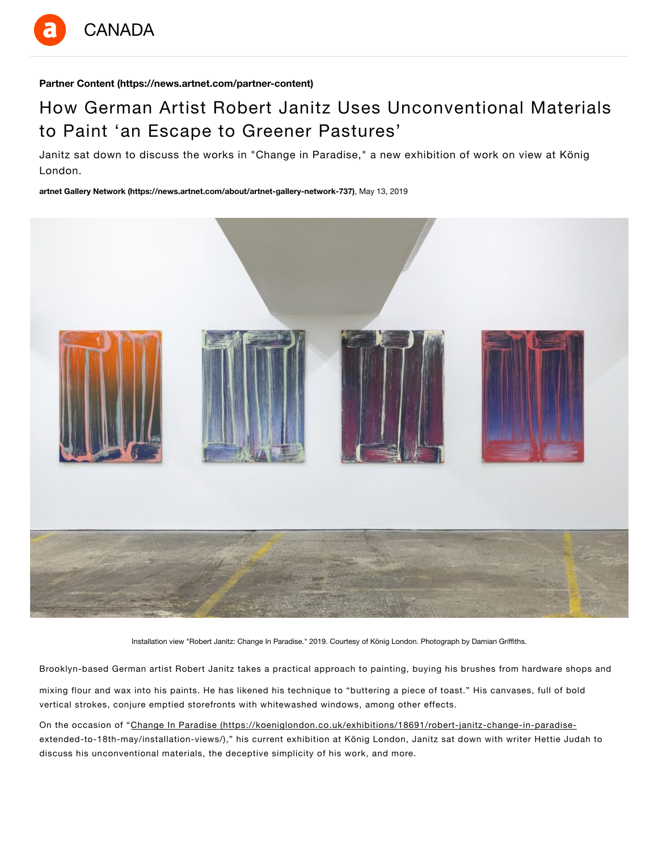

**Partner Content (https://news.artnet.com/partner-content)**

# How German Artist Robert Janitz Uses Unconventional Materials to Paint 'an Escape to Greener Pastures'

Janitz sat down to discuss the works in "Change in Paradise," a new exhibition of work on view at König London.

**artnet Gallery Network (https://news.artnet.com/about/artnet-gallery-network-737)**, May 13, 2019



Installation view "Robert Janitz: Change In Paradise." 2019. Courtesy of König London. Photograph by Damian Griffiths.

Brooklyn-based German artist Robert Janitz takes a practical approach to painting, buying his brushes from hardware shops and

mixing flour and wax into his paints. He has likened his technique to "buttering a piece of toast." His canvases, full of bold vertical strokes, conjure emptied storefronts with whitewashed windows, among other effects.

On the occasion of "Change In Paradise (https://koeniglondon.co.uk/exhibitions/18691/robert-janitz-change-in-paradiseextended-to-18th-may/installation-views/)," his current exhibition at König London, Janitz sat down with writer Hettie Judah to discuss his unconventional materials, the deceptive simplicity of his work, and more.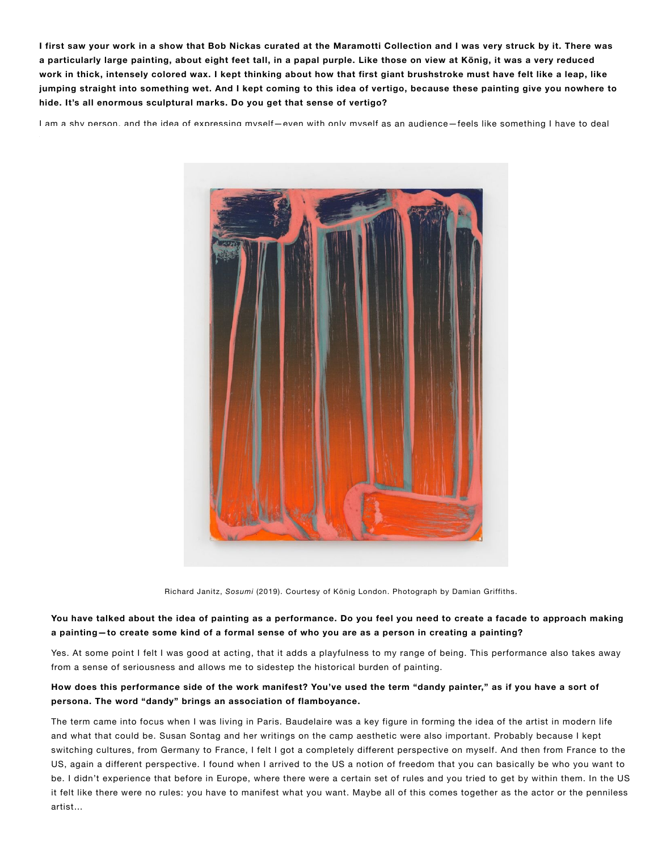**I first saw your work in a show that Bob Nickas curated at the Maramotti Collection and I was very struck by it. There was a particularly large painting, about eight feet tall, in a papal purple. Like those on view at König, it was a very reduced [work in thick, intensely colored wax. I kept thinking about how that first giant brushstroke must have felt like a lea](https://koeniglondon.co.uk/exhibitions/18691/robert-janitz-change-in-paradise-extended-to-18th-may/installation-views/)p, like jumping straight into something wet. And I kept coming to this idea of vertigo, because these painting give you nowhere to hide. It's all enormous sculptural marks. Do you get that sense of vertigo?**

I am a shv person, and the idea of expressing mvself—even with only mvself as an audience—feels like something I have to deal



Richard Janitz, *Sosumi* (2019). Courtesy of König London. Photograph by Damian Griffiths.

# **You have talked about the idea of painting as a performance. Do you feel you need to create a facade to approach making a painting—to create some kind of a formal sense of who you are as a person in creating a painting?**

Yes. At some point I felt I was good at acting, that it adds a playfulness to my range of being. This performance also takes away from a sense of seriousness and allows me to sidestep the historical burden of painting.

## **How does this performance side of the work manifest? You've used the term "dandy painter," as if you have a sort of persona. The word "dandy" brings an association of flamboyance.**

The term came into focus when I was living in Paris. Baudelaire was a key figure in forming the idea of the artist in modern life and what that could be. Susan Sontag and her writings on the camp aesthetic were also important. Probably because I kept switching cultures, from Germany to France, I felt I got a completely different perspective on myself. And then from France to the US, again a different perspective. I found when I arrived to the US a notion of freedom that you can basically be who you want to be. I didn't experience that before in Europe, where there were a certain set of rules and you tried to get by within them. In the US it felt like there were no rules: you have to manifest what you want. Maybe all of this comes together as the actor or the penniless artist…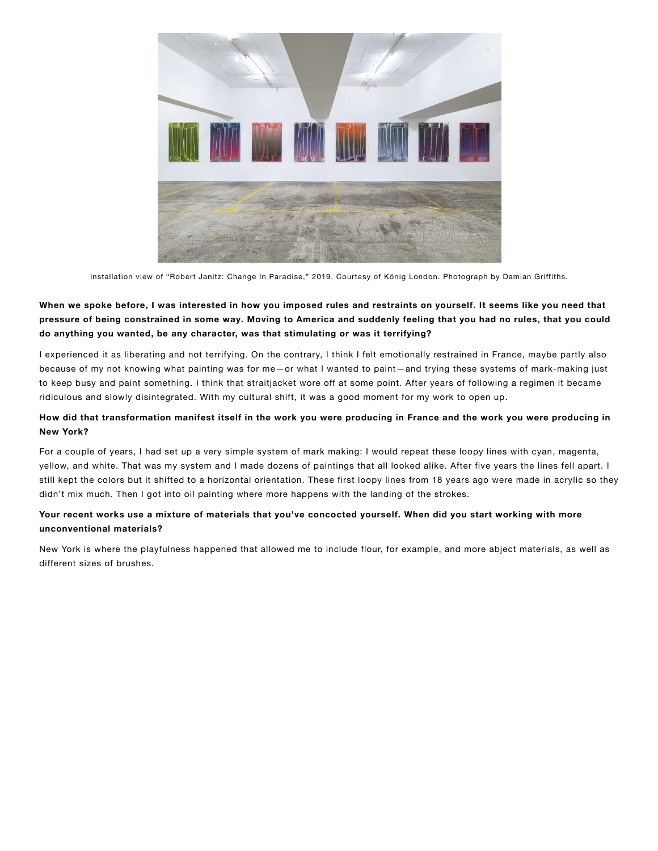

Installation view of "Robert Janitz: Change In Paradise," 2019. Courtesy of König London. Photograph by Damian Griffiths.

# When we spoke before, I was interested in how you imposed rules and restraints on yourself. It seems like you need that pressure of being constrained in some way. Moving to America and suddenly feeling that you had no rules, that you could **do anything you wanted, be any character, was that stimulating or was it terrifying?**

I experienced it as liberating and not terrifying. On the contrary, I think I felt emotionally restrained in France, maybe partly also because of my not knowing what painting was for me—or what I wanted to paint—and trying these systems of mark-making just to keep busy and paint something. I think that straitjacket wore off at some point. After years of following a regimen it became ridiculous and slowly disintegrated. With my cultural shift, it was a good moment for my work to open up.

## How did that transformation manifest itself in the work you were producing in France and the work you were producing in **New York?**

For a couple of years, I had set up a very simple system of mark making: I would repeat these loopy lines with cyan, magenta, yellow, and white. That was my system and I made dozens of paintings that all looked alike. After five years the lines fell apart. I still kept the colors but it shifted to a horizontal orientation. These first loopy lines from 18 years ago were made in acrylic so they didn't mix much. Then I got into oil painting where more happens with the landing of the strokes.

# Your recent works use a mixture of materials that you've concocted yourself. When did you start working with more **unconventional materials?**

New York is where the playfulness happened that allowed me to include flour, for example, and more abject materials, as well as different sizes of brushes.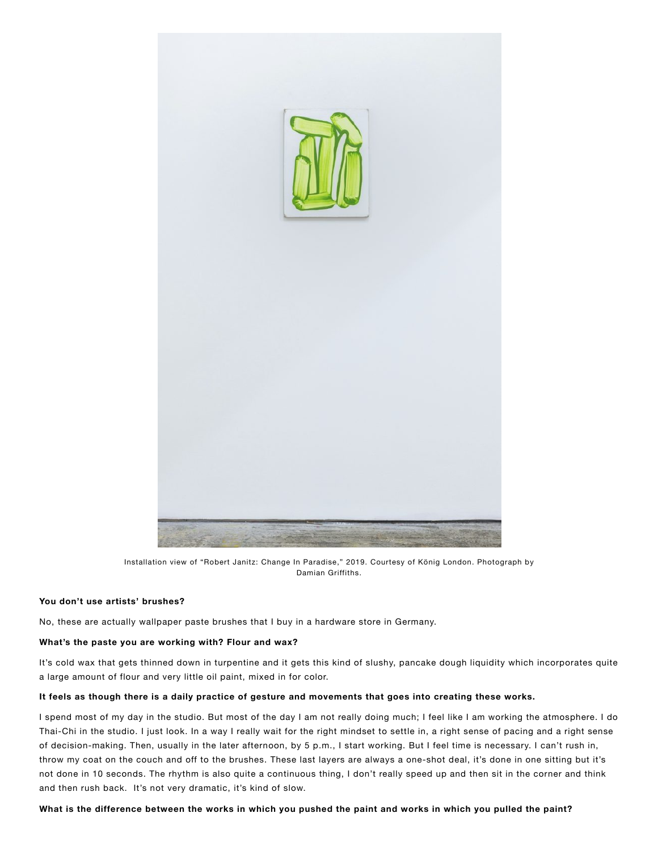

Installation view of "Robert Janitz: Change In Paradise," 2019. Courtesy of König London. Photograph by Damian Griffiths.

## **You don't use artists' brushes?**

No, these are actually wallpaper paste brushes that I buy in a hardware store in Germany.

#### **What's the paste you are working with? Flour and wax?**

It's cold wax that gets thinned down in turpentine and it gets this kind of slushy, pancake dough liquidity which incorporates quite a large amount of flour and very little oil paint, mixed in for color.

#### It feels as though there is a daily practice of gesture and movements that goes into creating these works.

I spend most of my day in the studio. But most of the day I am not really doing much; I feel like I am working the atmosphere. I do Thai-Chi in the studio. I just look. In a way I really wait for the right mindset to settle in, a right sense of pacing and a right sense of decision-making. Then, usually in the later afternoon, by 5 p.m., I start working. But I feel time is necessary. I can't rush in, throw my coat on the couch and off to the brushes. These last layers are always a one-shot deal, it's done in one sitting but it's not done in 10 seconds. The rhythm is also quite a continuous thing, I don't really speed up and then sit in the corner and think and then rush back. It's not very dramatic, it's kind of slow.

What is the difference between the works in which you pushed the paint and works in which you pulled the paint?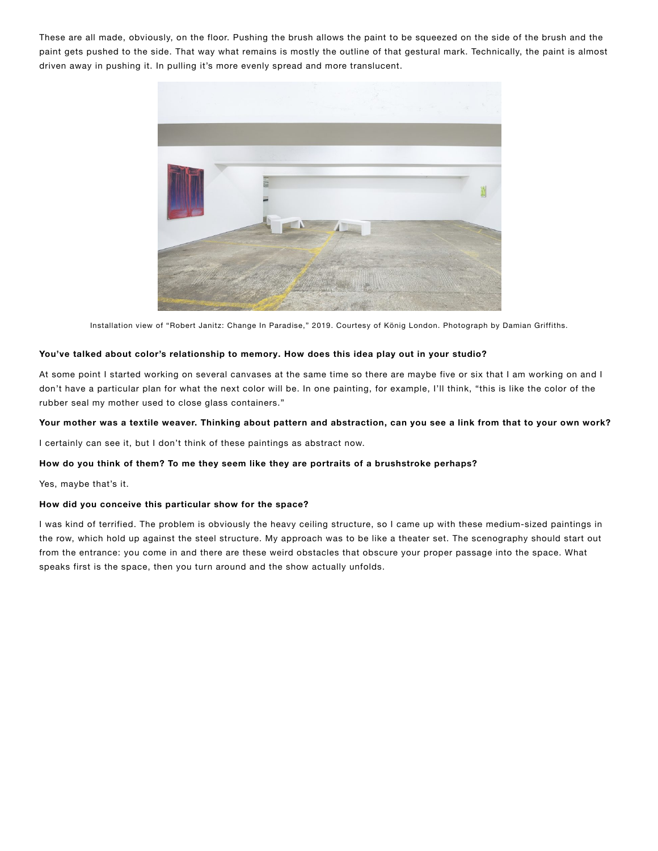These are all made, obviously, on the floor. Pushing the brush allows the paint to be squeezed on the side of the brush and the paint gets pushed to the side. That way what remains is mostly the outline of that gestural mark. Technically, the paint is almost driven away in pushing it. In pulling it's more evenly spread and more translucent.



Installation view of "Robert Janitz: Change In Paradise," 2019. Courtesy of König London. Photograph by Damian Griffiths.

## **You've talked about color's relationship to memory. How does this idea play out in your studio?**

At some point I started working on several canvases at the same time so there are maybe five or six that I am working on and I don't have a particular plan for what the next color will be. In one painting, for example, I'll think, "this is like the color of the rubber seal my mother used to close glass containers."

### **Your mother was a textile weaver. Thinking about pattern and abstraction, can you see a link from that to your own work?**

I certainly can see it, but I don't think of these paintings as abstract now.

#### **How do you think of them? To me they seem like they are portraits of a brushstroke perhaps?**

Yes, maybe that's it.

#### **How did you conceive this particular show for the space?**

I was kind of terrified. The problem is obviously the heavy ceiling structure, so I came up with these medium-sized paintings in the row, which hold up against the steel structure. My approach was to be like a theater set. The scenography should start out from the entrance: you come in and there are these weird obstacles that obscure your proper passage into the space. What speaks first is the space, then you turn around and the show actually unfolds.